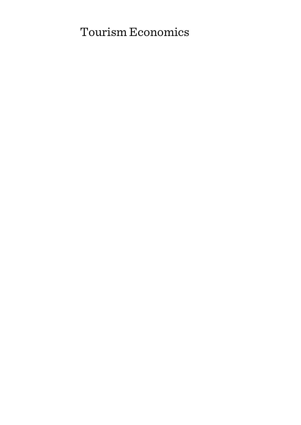# Tourism Economics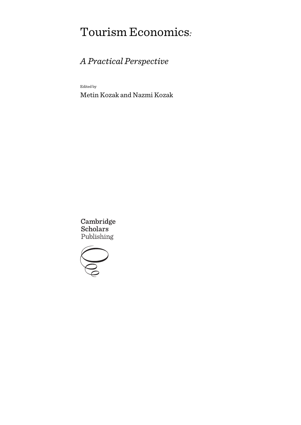# Tourism Economics*:*

# *A Practical Perspective*

Edited by

Metin Kozak and Nazmi Kozak

Cambridge **Scholars** Publishing

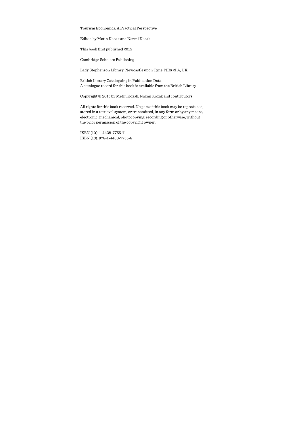Tourism Economics: A Practical Perspective

Edited by Metin Kozak and Nazmi Kozak

This book first published 2015

Cambridge Scholars Publishing

Lady Stephenson Library, Newcastle upon Tyne, NE6 2PA, UK

British Library Cataloguing in Publication Data A catalogue record for this book is available from the British Library

Copyright © 2015 by Metin Kozak, Nazmi Kozak and contributors

All rights for this book reserved. No part of this book may be reproduced, stored in a retrieval system, or transmitted, in any form or by any means, electronic, mechanical, photocopying, recording or otherwise, without the prior permission of the copyright owner.

ISBN (10): 1-4438-7755-7 ISBN (13): 978-1-4438-7755-8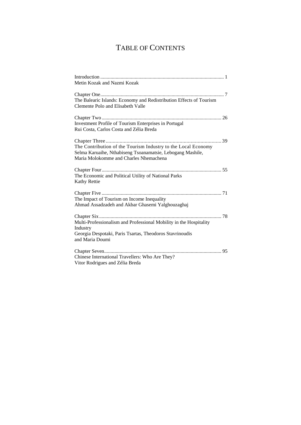# TABLE OF CONTENTS

| Metin Kozak and Nazmi Kozak                                                                                                                                           |
|-----------------------------------------------------------------------------------------------------------------------------------------------------------------------|
|                                                                                                                                                                       |
| The Balearic Islands: Economy and Redistribution Effects of Tourism<br>Clemente Polo and Elisabeth Valle                                                              |
|                                                                                                                                                                       |
| Investment Profile of Tourism Enterprises in Portugal<br>Rui Costa, Carlos Costa and Zélia Breda                                                                      |
| The Contribution of the Tourism Industry to the Local Economy<br>Selma Karuaihe, Nthabiseng Tsoanamatsie, Lebogang Mashile,<br>Maria Molokomme and Charles Nhemachena |
| The Economic and Political Utility of National Parks<br>Kathy Rettie                                                                                                  |
|                                                                                                                                                                       |
| The Impact of Tourism on Income Inequality<br>Ahmad Assadzadeh and Akbar Ghasemi Yalghouzaghaj                                                                        |
| Multi-Professionalism and Professional Mobility in the Hospitality<br>Industry<br>Georgia Despotaki, Paris Tsartas, Theodoros Stavrinoudis                            |
| and Maria Doumi                                                                                                                                                       |
| Chinese International Travellers: Who Are They?<br>Vitor Rodrigues and Zélia Breda                                                                                    |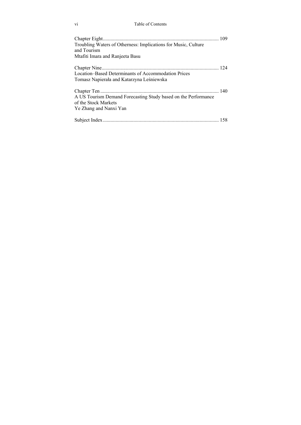#### vi Table of Contents

| Troubling Waters of Otherness: Implications for Music, Culture<br>and Tourism                                    |  |
|------------------------------------------------------------------------------------------------------------------|--|
| Mtafiti Imara and Ranjeeta Basu                                                                                  |  |
| Location–Based Determinants of Accommodation Prices<br>Tomasz Napierała and Katarzyna Leśniewska                 |  |
| A US Tourism Demand Forecasting Study based on the Performance<br>of the Stock Markets<br>Ye Zhang and Nanxi Yan |  |
|                                                                                                                  |  |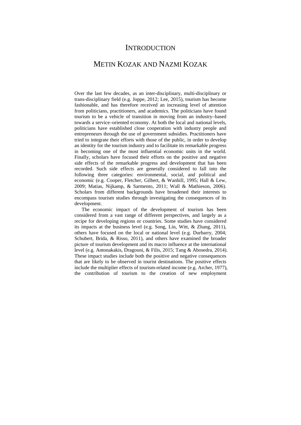### **INTRODUCTION**

### METIN KOZAK AND NAZMI KOZAK

Over the last few decades, as an inter-disciplinary, multi-disciplinary or trans-disciplinary field (e.g. Joppe, 2012; Lee, 2015), tourism has become fashionable, and has therefore received an increasing level of attention from politicians, practitioners, and academics. The politicians have found tourism to be a vehicle of transition in moving from an industry–based towards a service–oriented economy. At both the local and national levels, politicians have established close cooperation with industry people and entrepreneurs through the use of government subsidies. Practitioners have tried to integrate their efforts with those of the public, in order to develop an identity for the tourism industry and to facilitate its remarkable progress in becoming one of the most influential economic units in the world. Finally, scholars have focused their efforts on the positive and negative side effects of the remarkable progress and development that has been recorded. Such side effects are generally considered to fall into the following three categories: environmental, social, and political and economic (e.g. Cooper, Fletcher, Gilbert, & Wanhill, 1995; Hall & Lew, 2009; Matias, Nijkamp, & Sarmento, 2011; Wall & Mathieson, 2006). Scholars from different backgrounds have broadened their interests to encompass tourism studies through investigating the consequences of its development.

The economic impact of the development of tourism has been considered from a vast range of different perspectives, and largely as a recipe for developing regions or countries. Some studies have considered its impacts at the business level (e.g. Song, Lin, Witt, & Zhang, 2011), others have focused on the local or national level (e.g. Durbarry, 2004; Schubert, Brida, & Risso, 2011), and others have examined the broader picture of tourism development and its macro influence at the international level (e.g. Antonakakis, Dragouni, & Filis, 2015; Tang & Abosedra, 2014). These impact studies include both the positive and negative consequences that are likely to be observed in tourist destinations. The positive effects include the multiplier effects of tourism-related income (e.g. Archer, 1977), the contribution of tourism to the creation of new employment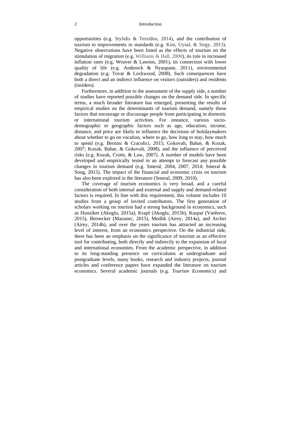#### 2 Introduction

opportunities (e.g. Stylidis & Terzidou, 2014), and the contribution of tourism to improvements in standards (e.g. Kim, Uysal, & Sirgy, 2013). Negative observations have been listed as the effects of tourism on the stimulation of migration (e.g. Williams & Hall, 2000), its role in increased inflation rates (e.g. Weaver & Lawton, 2001), its connection with lower quality of life (e.g. Andereck & Nyaupane, 2011), environmental degradation (e.g. Tovar & Lockwood, 2008). Such consequences have both a direct and an indirect influence on visitors (outsiders) and residents (insiders).

Furthermore, in addition to the assessment of the supply side, a number of studies have reported possible changes on the demand side. In specific terms, a much broader literature has emerged, presenting the results of empirical studies on the determinants of tourism demand, namely those factors that encourage or discourage people from participating in domestic or international tourism activities. For instance, various sociodemographic or geographic factors such as age, education, income, distance, and price are likely to influence the decisions of holidaymakers about whether to go on vacation, where to go, how long to stay, how much to spend (e.g. Bernini & Cracolici, 2015; Gokovali, Bahar, & Kozak, 2007; Kozak, Bahar, & Gokovali, 2008), and the influence of perceived risks (e.g. Kozak, Crotts, & Law, 2007). A number of models have been developed and empirically tested in an attempt to forecast any possible changes in tourism demand (e.g. Smeral, 2004, 2007, 2014; Smeral & Song, 2015). The impact of the financial and economic crisis on tourism has also been explored in the literature (Smeral, 2009, 2010).

The coverage of tourism economics is very broad, and a careful consideration of both internal and external and supply and demand-related factors is required. In line with this requirement, this volume includes 10 studies from a group of invited contributors. The first generation of scholars working on tourism had a strong background in economics, such as Hunziker (Akoglu, 2015a), Krapf (Akoglu, 2015b), Kaspar (Vanhove, 2015), Bernecker (Mazanec, 2015), Medlik (Airey, 2014a), and Archer (Airey, 2014b), and over the years tourism has attracted an increasing level of interest, from an economics perspective. On the industrial side, there has been an emphasis on the significance of tourism as an effective tool for contributing, both directly and indirectly to the expansion of local and international economies. From the academic perspective, in addition to its long-standing presence on curriculums at undergraduate and postgraduate levels, many books, research and industry projects, journal articles and conference papers have expanded the literature on tourism economics. Several academic journals (e.g. *Tourism Economics*) and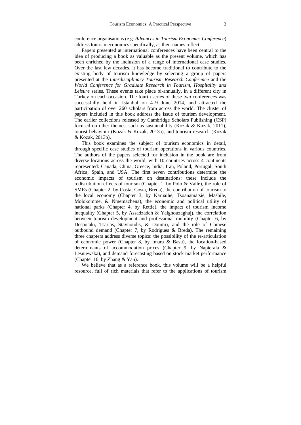conference organisations (e.g. *Advances in Tourism Economics Conference*) address tourism economics specifically, as their names reflect.

Papers presented at international conferences have been central to the idea of producing a book as valuable as the present volume, which has been enriched by the inclusion of a range of international case studies. Over the last few decades, it has become traditional to contribute to the existing body of tourism knowledge by selecting a group of papers presented at the *Interdisciplinary Tourism Research Conference* and the *World Conference for Graduate Research in Tourism, Hospitality and Leisure* series. These events take place bi-annually, in a different city in Turkey on each occasion. The fourth series of these two conferences was successfully held in Istanbul on 4–9 June 2014, and attracted the participation of over 260 scholars from across the world. The cluster of papers included in this book address the issue of tourism development. The earlier collections released by Cambridge Scholars Publishing (CSP) focused on other themes, such as sustainability (Kozak & Kozak, 2011), tourist behaviour (Kozak & Kozak, 2013a), and tourism research (Kozak & Kozak, 2013b).

This book examines the subject of tourism economics in detail, through specific case studies of tourism operations in various countries. The authors of the papers selected for inclusion in the book are from diverse locations across the world, with 10 countries across 4 continents represented: Canada, China, Greece, India, Iran, Poland, Portugal, South Africa, Spain, and USA. The first seven contributions determine the economic impacts of tourism on destinations: these include the redistribution effects of tourism (Chapter 1, by Polo & Valle), the role of SMEs (Chapter 2, by Costa, Costa, Breda), the contribution of tourism to the local economy (Chapter 3, by Karuaihe, Tsoanamatsie, Mashile, Molokomme, & Nmemachena), the economic and political utility of national parks (Chapter 4, by Rettie), the impact of tourism income inequality (Chapter 5, by Assadzadeh & Yalghouzaghaj), the correlation between tourism development and professional mobility (Chapter 6, by Despotaki, Tsartas, Stavnoudis, & Doumi), and the role of Chinese outbound demand (Chapter 7, by Rodrigues & Breda). The remaining three chapters address diverse topics: the possibility of the re-articulation of economic power (Chapter 8, by Imara & Basu), the location-based determinants of accommodation prices (Chapter 9, by Napierala & Lesniewska), and demand forecasting based on stock market performance (Chapter 10, by Zhang & Yan).

We believe that as a reference book, this volume will be a helpful resource, full of rich materials that refer to the applications of tourism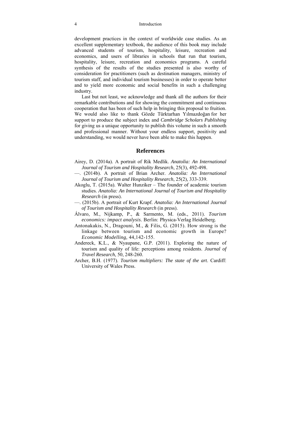#### 4 Introduction

development practices in the context of worldwide case studies. As an excellent supplementary textbook, the audience of this book may include advanced students of tourism, hospitality, leisure, recreation and economics, and users of libraries in schools that run that tourism, hospitality, leisure, recreation and economics programs. A careful synthesis of the results of the studies presented is also worthy of consideration for practitioners (such as destination managers, ministry of tourism staff, and individual tourism businesses) in order to operate better and to yield more economic and social benefits in such a challenging industry.

Last but not least, we acknowledge and thank all the authors for their remarkable contributions and for showing the commitment and continuous cooperation that has been of such help in bringing this proposal to fruition. We would also like to thank Gözde Türktarhan Yılmazdoğan for her support to produce the subject index and *Cambridge Scholars Publishing* for giving us a unique opportunity to publish this volume in such a smooth and professional manner. Without your endless support, positivity and understanding, we would never have been able to make this happen.

#### **References**

- Airey, D. (2014a). A portrait of Rik Medlik. *Anatolia: An International Journal of Tourism and Hospitality Research*, 25(3), 492-498.
- —. (2014b). A portrait of Brian Archer. *Anatolia: An International Journal of Tourism and Hospitality Research*, 25(2), 333-339.
- Akoglu, T. (2015a). Walter Hunziker The founder of academic tourism studies. *Anatolia: An International Journal of Tourism and Hospitality Research* (in press).
- —. (2015b). A portrait of Kurt Krapf. *Anatolia: An International Journal of Tourism and Hospitality Research* (in press).
- Álvaro, M., Nijkamp, P., & Sarmento, M. (eds., 2011). *Tourism economics: impact analysis*. Berlin: Physica-Verlag Heidelberg.
- Antonakakis, N., Dragouni, M., & Filis, G. (2015). How strong is the linkage between tourism and economic growth in Europe? *Economic Modelling,* 44,142-155.
- Andereck, K.L., & Nyaupane, G.P. (2011). Exploring the nature of tourism and quality of life: perceptions among residents. *Journal of Travel Research*, 50, 248-260.
- Archer, B.H. (1977). *Tourism multipliers: The state of the art*. Cardiff: University of Wales Press.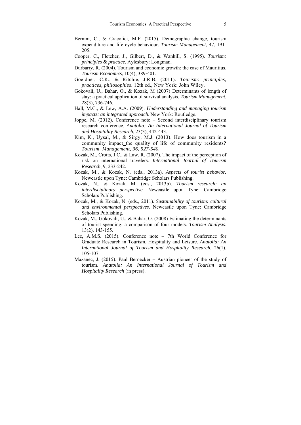- Bernini, C., & Cracolici, M.F. (2015). Demographic change, tourism expenditure and life cycle behaviour. *Tourism Management*, 47, 191- 205.
- Cooper, C., Fletcher, J., Gilbert, D., & Wanhill, S. (1995). *Tourism: principles & practice*. Aylesbury: Longman.
- Durbarry, R. (2004). Tourism and economic growth: the case of Mauritius. *Tourism Economics*, 10(4), 389-401.
- Goeldner, C.R., & Ritchie, J.R.B. (2011). *Tourism: principles, practices, philosophies*. 12th ed., New York: John Wiley.
- Gokovali, U., Bahar, O., & Kozak, M (2007) Determinants of length of stay: a practical application of survival analysis, *Tourism Management*, 28(3), 736-746.
- Hall, M.C., & Lew, A.A. (2009). *Understanding and managing tourism impacts: an integrated approach*. New York: Routledge.
- Joppe, M. (2012). Conference note Second interdisciplinary tourism research conference. *Anatolia: An International Journal of Tourism and Hospitality Research*, 23(3), 442-443.
- Kim, K., Uysal, M., & Sirgy, M.J. (2013). How does tourism in a community impact the quality of life of community residents**?** *Tourism Management, 36, 527-540.*
- Kozak, M., Crotts, J.C., & Law, R. (2007). The impact of the perception of risk on international travelers. *International Journal of Tourism Research*, 9, 233-242.
- Kozak, M., & Kozak, N. (eds., 2013a). *Aspects of tourist behavior.* Newcastle upon Tyne: Cambridge Scholars Publishing.
- Kozak, N., & Kozak, M. (eds., 2013b). *Tourism research: an interdisciplinary perspective.* Newcastle upon Tyne: Cambridge Scholars Publishing.
- Kozak, M., & Kozak, N. (eds., 2011). *Sustainability of tourism: cultural and environmental perspectives*. Newcastle upon Tyne: Cambridge Scholars Publishing.
- Kozak, M., Gökovali, U., & Bahar, O. (2008) Estimating the determinants of tourist spending: a comparison of four models. *Tourism Analysis*. 13(2), 143-155.
- Lee, A.M.S. (2015). Conference note 7th World Conference for Graduate Research in Tourism, Hospitality and Leisure. *Anatolia: An International Journal of Tourism and Hospitality Research*, 26(1), 105-107.
- Mazanec, J. (2015). Paul Bernecker Austrian pioneer of the study of tourism. *Anatolia: An International Journal of Tourism and Hospitality Research* (in press).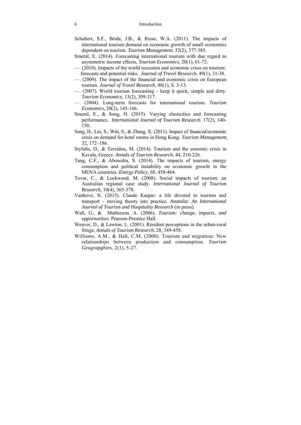#### 6 Introduction

- Schubert, S.F., Brida, J.B., & Risso, W.A. (2011). The impacts of international tourism demand on economic growth of small economies dependent on tourism. *Tourism Management,* 32(2), 377-385.
- Smeral, E. (2014). Forecasting international tourism with due regard to asymmetric income effects, *Tourism Economics*, 20(1), 61-72.
- —. (2010). Impacts of the world recession and economic crisis on tourism: forecasts and potential risks. *Journal of Travel Research*, 49(1), 31-38.
- —. (2009). The impact of the financial and economic crisis on European tourism. *Journal of Travel Research*, 48(1), S. 3-13.
- —. (2007). World tourism forecasting keep it quick, simple and dirty. *Tourism Economics*, 13(2), 309-317.
- —. (2004). Long-term forecasts for international tourism. *Tourism Economics*, 20(2), 145-166.
- Smeral, E., & Song, H. (2015). Varying elasticities and forecasting performance, *International Journal of Tourism Research*. 17(2), 140- 150.
- Song, H., Lin, S., Witt, S., & Zhang, X. (2011). Impact of financial/economic crisis on demand for hotel rooms in Hong Kong. *Tourism Management*, 32, 172–186.
- Stylidis, D., & Terzidou, M. (2014). Tourism and the eonomic crisis in Kavala, Greece. *Annals of Tourism Research,* 44, 210-226.
- Tang, C.F., & Abosedra, S. (2014). The impacts of tourism, energy consumption and political instability on economic growth in the MENA countries. *Energy Policy*, 68, 458-464.
- Tovar, C., & Lockwood, M. (2008). Social impacts of tourism: an Australian regional case study. *International Journal of Tourism Research,* 10(4), 365-378.
- Vanhove, N. (2015). Claude Kaspar: a life devoted to tourism and transport – moving theory into practice. *Anatolia: An International Journal of Tourism and Hospitality Research* (in press).
- Wall, G., & Mathieson, A. (2006). *Tourism: change, impacts, and opportunities*. Pearson-Prentice Hall.
- Weaver, D., & Lawton, L. (2001). Resident perceptions in the urban-rural fringe. *Annals of Tourism Research*, 28, 349-458.
- Williams, A.M., & Hall, C.M. (2000). Tourism and migration: New relationships between production and consumption. *Tourism Geograpghies*, 2(1), 5-27.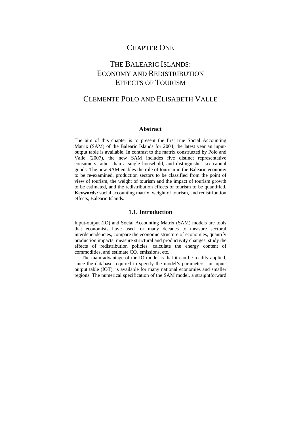## CHAPTER ONE

# THE BALEARIC ISLANDS: ECONOMY AND REDISTRIBUTION EFFECTS OF TOURISM

## CLEMENTE POLO AND ELISABETH VALLE

#### **Abstract**

The aim of this chapter is to present the first true Social Accounting Matrix (SAM) of the Balearic Islands for 2004, the latest year an inputoutput table is available. In contrast to the matrix constructed by Polo and Valle (2007), the new SAM includes five distinct representative consumers rather than a single household, and distinguishes six capital goods. The new SAM enables the role of tourism in the Balearic economy to be re-examined, production sectors to be classified from the point of view of tourism, the weight of tourism and the impact of tourism growth to be estimated, and the redistribution effects of tourism to be quantified. **Keywords:** social accounting matrix, weight of tourism, and redistribution effects, Balearic Islands.

#### **1.1. Introduction**

Input-output (IO) and Social Accounting Matrix (SAM) models are tools that economists have used for many decades to measure sectoral interdependencies, compare the economic structure of economies, quantify production impacts, measure structural and productivity changes, study the effects of redistribution policies, calculate the energy content of commodities, and estimate  $CO<sub>2</sub>$  emissions, etc.

The main advantage of the IO model is that it can be readily applied, since the database required to specify the model's parameters, an inputoutput table (IOT), is available for many national economies and smaller regions. The numerical specification of the SAM model, a straightforward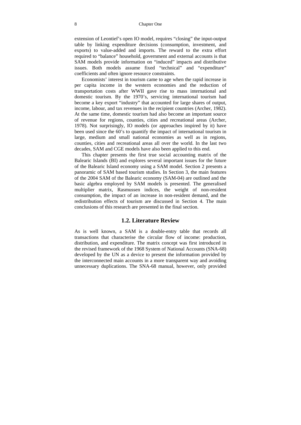#### 8 Chapter One

extension of Leontief's open IO model, requires "closing" the input-output table by linking expenditure decisions (consumption, investment, and exports) to value-added and imports. The reward to the extra effort required to "balance" household, government and external accounts is that SAM models provide information on "induced" impacts and distributive issues. Both models assume fixed "technical" and "expenditure" coefficients and often ignore resource constraints.

Economists' interest in tourism came to age when the rapid increase in per capita income in the western economies and the reduction of transportation costs after WWII gave rise to mass international and domestic tourism. By the 1970's, servicing international tourism had become a key export "industry" that accounted for large shares of output, income, labour, and tax revenues in the recipient countries (Archer, 1982). At the same time, domestic tourism had also become an important source of revenue for regions, counties, cities and recreational areas (Archer, 1978). Not surprisingly, IO models (or approaches inspired by it) have been used since the 60's to quantify the impact of international tourism in large, medium and small national economies as well as in regions, counties, cities and recreational areas all over the world. In the last two decades, SAM and CGE models have also been applied to this end.

This chapter presents the first true social accounting matrix of the Balearic Islands (BI) and explores several important issues for the future of the Balearic Island economy using a SAM model. Section 2 presents a panoramic of SAM based tourism studies. In Section 3, the main features of the 2004 SAM of the Balearic economy (SAM-04) are outlined and the basic algebra employed by SAM models is presented. The generalised multiplier matrix, Rasmussen indices, the weight of non-resident consumption, the impact of an increase in non-resident demand, and the redistribution effects of tourism are discussed in Section 4. The main conclusions of this research are presented in the final section.

#### **1.2. Literature Review**

As is well known, a SAM is a double-entry table that records all transactions that characterise the circular flow of income: production, distribution, and expenditure. The matrix concept was first introduced in the revised framework of the 1968 System of National Accounts (SNA-68) developed by the UN as a device to present the information provided by the interconnected main accounts in a more transparent way and avoiding unnecessary duplications. The SNA-68 manual, however, only provided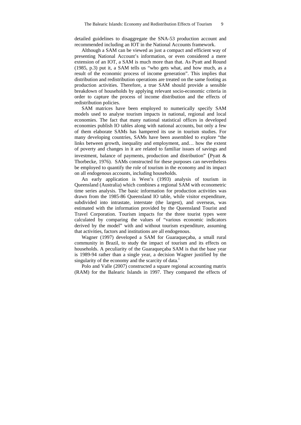detailed guidelines to disaggregate the SNA-53 production account and recommended including an IOT in the National Accounts framework.

Although a SAM can be viewed as just a compact and efficient way of presenting National Account's information, or even considered a mere extension of an IOT, a SAM is much more than that. As Pyatt and Round (1985, p.3) put it, a SAM tells us "who gets what, and how much, as a result of the economic process of income generation". This implies that distribution and redistribution operations are treated on the same footing as production activities. Therefore, a true SAM should provide a sensible breakdown of households by applying relevant socio-economic criteria in order to capture the process of income distribution and the effects of redistribution policies.

SAM matrices have been employed to numerically specify SAM models used to analyse tourism impacts in national, regional and local economies. The fact that many national statistical offices in developed economies publish IO tables along with national accounts, but only a few of them elaborate SAMs has hampered its use in tourism studies. For many developing countries, SAMs have been assembled to explore "the links between growth, inequality and employment, and… how the extent of poverty and changes in it are related to familiar issues of savings and investment, balance of payments, production and distribution" (Pyatt & Thorbecke, 1976). SAMs constructed for these purposes can nevertheless be employed to quantify the role of tourism in the economy and its impact on all endogenous accounts, including households.

An early application is West's (1993) analysis of tourism in Queensland (Australia) which combines a regional SAM with econometric time series analysis. The basic information for production activities was drawn from the 1985-86 Queensland IO table, while visitor expenditure, subdivided into intrastate, interstate (the largest), and overseas, was estimated with the information provided by the Queensland Tourist and Travel Corporation. Tourism impacts for the three tourist types were calculated by comparing the values of "various economic indicators derived by the model" with and without tourism expenditure, assuming that activities, factors and institutions are all endogenous.

Wagner (1997) developed a SAM for Guaraqueçaba, a small rural community in Brazil, to study the impact of tourism and its effects on households. A peculiarity of the Guaraqueçaba SAM is that the base year is 1989-94 rather than a single year, a decision Wagner justified by the singularity of the economy and the scarcity of data.<sup>1</sup>

Polo and Valle (2007) constructed a square regional accounting matrix (RAM) for the Balearic Islands in 1997. They compared the effects of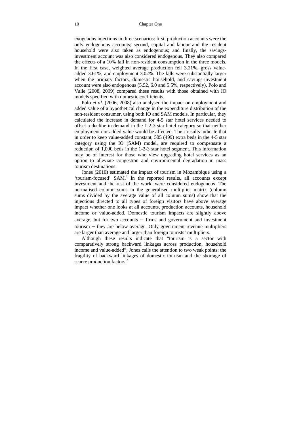exogenous injections in three scenarios: first, production accounts were the only endogenous accounts; second, capital and labour and the resident household were also taken as endogenous; and finally, the savingsinvestment account was also considered endogenous. They also compared the effects of a 10% fall in non-resident consumption in the three models. In the first case, weighted average production fell 3.21%, gross valueadded 3.61%, and employment 3.02%. The falls were substantially larger when the primary factors, domestic household, and savings-investment account were also endogenous (5.52, 6.0 and 5.5%, respectively). Polo and Valle (2008, 2009) compared these results with those obtained with IO models specified with domestic coefficients.

Polo *et al.* (2006, 2008) also analysed the impact on employment and added value of a hypothetical change in the expenditure distribution of the non-resident consumer, using both IO and SAM models. In particular, they calculated the increase in demand for 4-5 star hotel services needed to offset a decline in demand in the 1-2-3 star hotel category so that neither employment nor added value would be affected. Their results indicate that in order to keep value-added constant, 505 (499) extra beds in the 4-5 star category using the IO (SAM) model, are required to compensate a reduction of 1,000 beds in the 1-2-3 star hotel segment. This information may be of interest for those who view upgrading hotel services as an option to alleviate congestion and environmental degradation in mass tourism destinations.

Jones (2010) estimated the impact of tourism in Mozambique using a 'tourism-focused' SAM.<sup>2</sup> In the reported results, all accounts except investment and the rest of the world were considered endogenous. The normalised column sums in the generalised multiplier matrix (column sums divided by the average value of all column sums) show that the injections directed to all types of foreign visitors have above average impact whether one looks at all accounts, production accounts, household income or value-added. Domestic tourism impacts are slightly above average, but for two accounts – firms and government and investment tourism – they are below average. Only government revenue multipliers are larger than average and larger than foreign tourists' multipliers.

Although these results indicate that "tourism is a sector with comparatively strong backward linkages across production, household income and value-added", Jones calls the attention to two weak points: the fragility of backward linkages of domestic tourism and the shortage of scarce production factors.<sup>3</sup>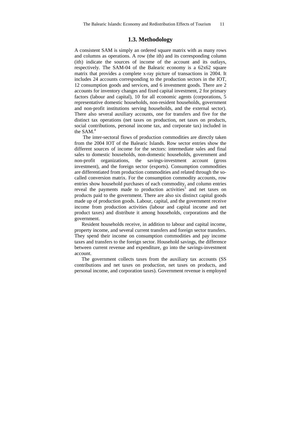#### **1.3. Methodology**

A consistent SAM is simply an ordered square matrix with as many rows and columns as operations. A row (the ith) and its corresponding column (ith) indicate the sources of income of the account and its outlays, respectively. The SAM-04 of the Balearic economy is a 62x62 square matrix that provides a complete x-ray picture of transactions in 2004. It includes 24 accounts corresponding to the production sectors in the IOT, 12 consumption goods and services, and 6 investment goods. There are 2 accounts for inventory changes and fixed capital investment, 2 for primary factors (labour and capital), 10 for all economic agents (corporations, 5 representative domestic households, non-resident households, government and non-profit institutions serving households, and the external sector). There also several auxiliary accounts, one for transfers and five for the distinct tax operations (net taxes on production, net taxes on products, social contributions, personal income tax, and corporate tax) included in the SAM $<sup>4</sup>$ </sup>

 The inter-sectoral flows of production commodities are directly taken from the 2004 IOT of the Balearic Islands. Row sector entries show the different sources of income for the sectors: intermediate sales and final sales to domestic households, non-domestic households, government and non-profit organizations, the savings-investment account (gross investment), and the foreign sector (exports). Consumption commodities are differentiated from production commodities and related through the socalled conversion matrix. For the consumption commodity accounts, row entries show household purchases of each commodity, and column entries reveal the payments made to production activities<sup>5</sup> and net taxes on products paid to the government. There are also six distinct capital goods made up of production goods. Labour, capital, and the government receive income from production activities (labour and capital income and net product taxes) and distribute it among households, corporations and the government.

Resident households receive, in addition to labour and capital income, property income, and several current transfers and foreign sector transfers. They spend their income on consumption commodities and pay income taxes and transfers to the foreign sector. Household savings, the difference between current revenue and expenditure, go into the savings-investment account.

The government collects taxes from the auxiliary tax accounts (SS contributions and net taxes on production, net taxes on products, and personal income, and corporation taxes). Government revenue is employed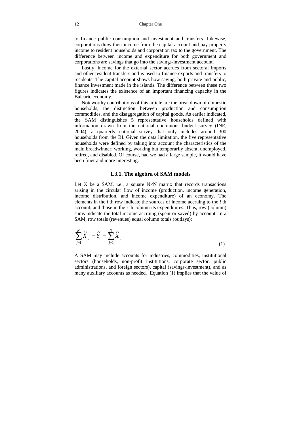to finance public consumption and investment and transfers. Likewise, corporations draw their income from the capital account and pay property income to resident households and corporation tax to the government. The difference between income and expenditure for both government and corporations are savings that go into the savings-investment account.

Lastly, income for the external sector accrues from sectoral imports and other resident transfers and is used to finance exports and transfers to residents. The capital account shows how saving, both private and public, finance investment made in the islands. The difference between these two figures indicates the existence of an important financing capacity in the Balearic economy.

Noteworthy contributions of this article are the breakdown of domestic households, the distinction between production and consumption commodities, and the disaggregation of capital goods. As earlier indicated, the SAM distinguishes 5 representative households defined with information drawn from the national continuous budget survey (INE, 2004), a quarterly national survey that only includes around 300 households from the BI. Given the data limitation, the five representative households were defined by taking into account the characteristics of the main breadwinner: working, working but temporarily absent, unemployed, retired, and disabled. Of course, had we had a large sample, it would have been finer and more interesting.

#### **1.3.1. The algebra of SAM models**

Let X be a SAM, i.e., a square  $N \times N$  matrix that records transactions arising in the circular flow of income (production, income generation, income distribution, and income expenditure) of an economy. The elements in the *i* th row indicate the sources of income accruing to the *i* th account, and those in the *i* th column its expenditures. Thus, row (column) sums indicate the total income accruing (spent or saved) by account. In a SAM, row totals (revenues) equal column totals (outlays):

$$
\sum_{j=1}^{N} \widetilde{X}_{ij} \equiv \widetilde{Y}_i \equiv \sum_{j=1}^{N} \widetilde{X}_{ji}
$$
\n(1)

A SAM may include accounts for industries, commodities, institutional sectors (households, non-profit institutions, corporate sector, public administrations, and foreign sectors), capital (savings-investment), and as many auxiliary accounts as needed. Equation (1) implies that the value of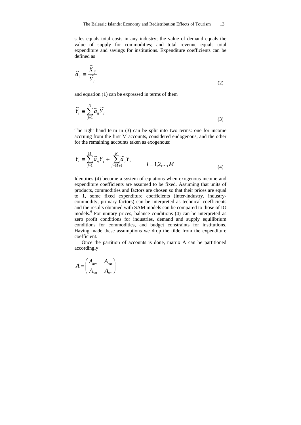sales equals total costs in any industry; the value of demand equals the value of supply for commodities; and total revenue equals total expenditure and savings for institutions. Expenditure coefficients can be defined as

$$
\widetilde{a}_{ij} = \frac{\widetilde{X}_{ij}}{\widetilde{Y}_j} \tag{2}
$$

and equation (1) can be expressed in terms of them

$$
\widetilde{Y}_i \equiv \sum_{j=1}^N \widetilde{a}_{ij} \widetilde{Y}_j \tag{3}
$$

The right hand term in (3) can be split into two terms: one for income accruing from the first M accounts, considered endogenous, and the other for the remaining accounts taken as exogenous:

$$
Y_{i} = \sum_{j=1}^{M} \widetilde{a}_{ij} Y_{j} + \sum_{j=M+1}^{N} \widetilde{a}_{ij} Y_{j}
$$
  
  $i = 1, 2, ..., M$  (4)

Identities (4) become a system of equations when exogenous income and expenditure coefficients are assumed to be fixed. Assuming that units of products, commodities and factors are chosen so that their prices are equal to 1, some fixed expenditure coefficients (inter-industry, industrycommodity, primary factors) can be interpreted as technical coefficients and the results obtained with SAM models can be compared to those of IO models.<sup>6</sup> For unitary prices, balance conditions (4) can be interpreted as zero profit conditions for industries, demand and supply equilibrium conditions for commodities, and budget constraints for institutions. Having made these assumptions we drop the tilde from the expenditure coefficient.

Once the partition of accounts is done, matrix A can be partitioned accordingly

$$
A = \begin{pmatrix} A_{mm} & A_{mn} \\ A_{nm} & A_{nn} \end{pmatrix}
$$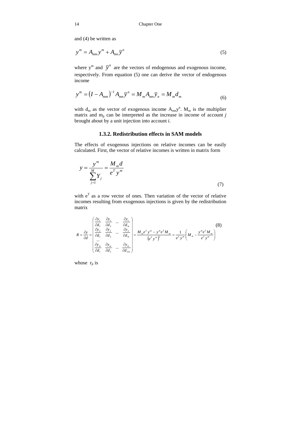and (4) be written as

$$
y^m = A_{mn} y^m + A_{mn} \overline{y}^n \tag{5}
$$

where  $y^m$  and  $\overline{y}^n$  are the vectors of endogenous and exogenous income, respectively. From equation (5) one can derive the vector of endogenous income

$$
y^{m} = (I - A_{mm})^{-1} A_{mn} \overline{y}^{n} = M_{m} A_{mn} \overline{y}_{n} = M_{m} d_{m}
$$
\n(6)

with  $d_m$  as the vector of exogenous income  $A_{mn}y^n$ .  $M_m$  is the multiplier matrix and  $m_{ii}$  can be interpreted as the increase in income of account  $j$ brought about by a unit injection into account *i*.

#### **1.3.2. Redistribution effects in SAM models**

The effects of exogenous injections on relative incomes can be easily calculated. First, the vector of relative incomes is written in matrix form

$$
y = \frac{y^m}{\sum_{j=1}^{M} Y_j} = \frac{M_m d}{e^T y^m}
$$
\n(7)

with  $e^{T}$  as a row vector of ones. Then variation of the vector of relative incomes resulting from exogenous injections is given by the redistribution matrix

$$
R = \frac{\partial y}{\partial d} = \begin{pmatrix} \frac{\partial y_1}{\partial d_1} & \frac{\partial y_1}{\partial d_2} & \dots & \frac{\partial y_1}{\partial d_m} \\ \frac{\partial y_2}{\partial d_1} & \frac{\partial y_2}{\partial d_2} & \dots & \frac{\partial y_2}{\partial d_m} \\ \dots & \dots & \dots & \dots \\ \frac{\partial y_m}{\partial d_1} & \frac{\partial y_m}{\partial d_2} & \dots & \frac{\partial y_m}{\partial d_m} \end{pmatrix} = \frac{M_m e^T y^m - y^m e^T M_m}{(e^T y^m)^2} = \frac{1}{e^T y^m} \left( M_m - \frac{y^m e^T M_m}{e^T y^m} \right)
$$
(8)

whose  $r_{ji}$  is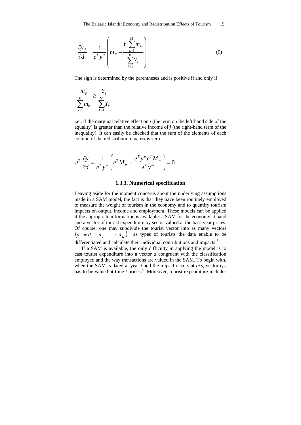$$
\frac{\partial y_j}{\partial d_i} = \frac{1}{e^T y^m} \left( m_{ji} - \frac{Y_j \sum_{k=1}^M m_{ki}}{\sum_{k=1}^M Y_k} \right)
$$
(9)

The sign is determined by the parentheses and is positive if and only if

$$
\frac{m_{ji}}{\sum_{k=1}^{M}m_{ki}} \geq \frac{Y_j}{\sum_{k=1}^{M}Y_k}
$$

i.e., if the marginal relative effect on *j* (the term on the left-hand side of the equality) is greater than the relative income of *j* (the right-hand term of the inequality). It can easily be checked that the sum of the elements of each column of the redistribution matrix is zero.

$$
e^T \frac{\partial y}{\partial d} = \frac{1}{e^T y^m} \left( e^T M_m - \frac{e^T y^m e^T M_m}{e^T y^m} \right) = 0.
$$

#### **1.3.3. Numerical specification**

Leaving aside for the moment concerns about the underlying assumptions made in a SAM model, the fact is that they have been routinely employed to measure the weight of tourism in the economy and to quantify tourism impacts on output, income and employment. These models can be applied if the appropriate information is available: a SAM for the economy at hand and a vector of tourist expenditure by sector valued at the base year prices. Of course, one may subdivide the tourist vector into as many vectors  $(d = d_1 + d_2 + ... + d_k)$  as types of tourists the data enable to be differentiated and calculate their individual contributions and impacts.<sup>7</sup>

If a SAM is available, the only difficulty in applying the model is to cast tourist expenditure into a vector *d* congruent with the classification employed and the way transactions are valued in the SAM. To begin with, when the SAM is dated at year  $t$  and the impact occurs at  $t+s$ , vector  $e_{t+s}$ has to be valued at time *t* prices.<sup>8</sup> Moreover, tourist expenditure includes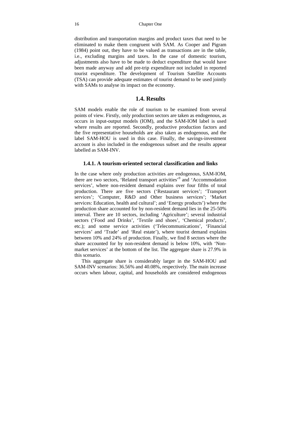distribution and transportation margins and product taxes that need to be eliminated to make them congruent with SAM. As Cooper and Pigram (1984) point out, they have to be valued as transactions are in the table, i.e., excluding margins and taxes. In the case of domestic tourism, adjustments also have to be made to deduct expenditure that would have been made anyway and add pre-trip expenditure not included in reported tourist expenditure. The development of Tourism Satellite Accounts (TSA) can provide adequate estimates of tourist demand to be used jointly with SAMs to analyse its impact on the economy.

#### **1.4. Results**

SAM models enable the role of tourism to be examined from several points of view. Firstly, only production sectors are taken as endogenous, as occurs in input-output models (IOM), and the SAM-IOM label is used where results are reported. Secondly, productive production factors and the five representative households are also taken as endogenous, and the label SAM-HOU is used in this case. Finally, the savings-investment account is also included in the endogenous subset and the results appear labelled as SAM-INV.

#### **1.4.1. A tourism-oriented sectoral classification and links**

In the case where only production activities are endogenous, SAM-IOM, there are two sectors, 'Related transport activities'<sup>9</sup> and 'Accommodation services', where non-resident demand explains over four fifths of total production. There are five sectors ('Restaurant services'; 'Transport services'; 'Computer, R&D and Other business services'; 'Market services: Education, health and cultural'; and 'Energy products') where the production share accounted for by non-resident demand lies in the 25-50% interval. There are 10 sectors, including 'Agriculture'; several industrial sectors ('Food and Drinks', 'Textile and shoes', 'Chemical products', etc.); and some service activities ('Telecommunications', 'Financial services' and 'Trade' and 'Real estate'), where tourist demand explains between 10% and 24% of production. Finally, we find 8 sectors where the share accounted for by non-resident demand is below 10%, with 'Nonmarket services' at the bottom of the list. The aggregate share is 27.9% in this scenario.

This aggregate share is considerably larger in the SAM-HOU and SAM-INV scenarios: 36.56% and 40.08%, respectively. The main increase occurs when labour, capital, and households are considered endogenous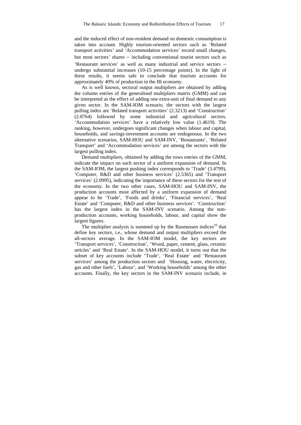and the induced effect of non-resident demand on domestic consumption is taken into account. Highly tourism-oriented sectors such as 'Related transport activities' and 'Accommodation services' record small changes, but most sectors' shares – including conventional tourist sectors such as 'Restaurant services' as well as many industrial and service sectors – undergo substantial increases (10-15 percentage points). In the light of these results, it seems safe to conclude that tourism accounts for approximately 40% of production in the BI economy.

As is well known, sectoral output multipliers are obtained by adding the column entries of the generalised multipliers matrix (GMM) and can be interpreted as the effect of adding one extra-unit of final demand to any given sector. In the SAM-IOM scenario, the sectors with the largest pulling index are 'Related transport activities' (2.3213) and 'Construction' (2.0764) followed by some industrial and agricultural sectors. 'Accommodation services' have a relatively low value (1.4619). The ranking, however, undergoes significant changes when labour and capital, households, and savings-investment accounts are endogenous. In the two alternative scenarios, SAM-HOU and SAM-INV, 'Restaurants', 'Related Transport' and 'Accommodation services' are among the sectors with the largest pulling index.

Demand multipliers, obtained by adding the rows entries of the GMM, indicate the impact on each sector of a uniform expansion of demand. In the SAM-IOM, the largest pushing index corresponds to 'Trade' (3.4799), 'Computer, R&D and other business services' (2.5365) and 'Transport services' (2.0995), indicating the importance of these sectors for the rest of the economy. In the two other cases, SAM-HOU and SAM-INV, the production accounts most affected by a uniform expansion of demand appear to be 'Trade', 'Foods and drinks', 'Financial services', 'Real Estate' and 'Computer, R&D and other business services'. 'Construction' has the largest index in the SAM-INV scenario. Among the nonproduction accounts, working households, labour, and capital show the largest figures.

The multiplier analysis is summed up by the Rasmussen indices<sup>10</sup> that define key sectors, i.e., whose demand and output multipliers exceed the all-sectors average. In the SAM-IOM model, the key sectors are 'Transport services', 'Construction', 'Wood, paper, cement, glass, ceramic articles' and 'Real Estate'. In the SAM-HOU model, it turns out that the subset of key accounts include 'Trade', 'Real Estate' and 'Restaurant services' among the production sectors and 'Housing, water, electricity, gas and other fuels', 'Labour', and 'Working households' among the other accounts. Finally, the key sectors in the SAM-INV scenario include, in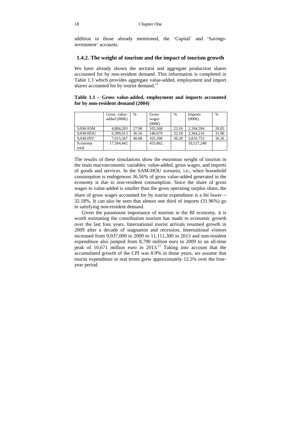addition to those already mentioned, the 'Capital' and 'Savingsinvestment' accounts.

#### **1.4.2. The weight of tourism and the impact of tourism growth**

We have already shown the sectoral and aggregate production shares accounted for by non-resident demand. This information is completed in Table 1.1 which provides aggregate value-added, employment and import shares accounted for by tourist demand.<sup>11</sup>

**Table 1.1 – Gross value-added, employment and imports accounted for by non-resident demand (2004)** 

|                | Gross value-<br>added $(000 \oplus$ | $\frac{0}{0}$ | Gross<br>wages<br>(000) | $\%$  | Imports<br>$(000\oplus$ | $\%$  |
|----------------|-------------------------------------|---------------|-------------------------|-------|-------------------------|-------|
| SAM-IOM        | 4.884.203                           | 27.90         | 105.568                 | 23.16 | 2.194.594               | 20.85 |
| <b>SAM-HOU</b> | 6,399,013                           | 36.56         | 146,679                 | 32.18 | 3,364,216               | 31.96 |
| <b>SAM-INV</b> | 7,015,367                           | 40.08         | 165,390                 | 36.28 | 3,816,753               | 36.26 |
| Economy        | 17,504,442                          |               | 455,862                 |       | 10.527.248              |       |
| total          |                                     |               |                         |       |                         |       |

The results of these simulations show the enormous weight of tourism in the main macroeconomic variables: value-added, gross wages, and imports of goods and services. In the SAM-HOU scenario, i.e., when household consumption is endogenous 36.56% of gross value-added generated in the economy is due to non-resident consumption. Since the share of gross wages in value-added is smaller than the gross operating surplus share, the share of gross wages accounted for by tourist expenditure is a bit lower – 32.18%. It can also be seen that almost one third of imports (31.96%) go to satisfying non-resident demand.

Given the paramount importance of tourism in the BI economy, it is worth estimating the contribution tourism has made to economic growth over the last four years. International tourist arrivals resumed growth in 2009 after a decade of stagnation and recession. International visitors increased from 9,037,000 in 2009 to 11,111,300 in 2013 and non-resident expenditure also jumped from 8,790 million euro in 2009 to an all-time peak of  $10,671$  million euro in  $2013$ <sup>12</sup> Taking into account that the accumulated growth of the CPI was 8.9% in those years, we assume that tourist expenditure in real terms grew approximately 12.5% over the fouryear period.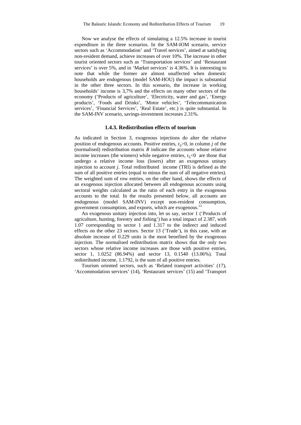Now we analyse the effects of simulating a 12.5% increase in tourist expenditure in the three scenarios. In the SAM-IOM scenario, service sectors such as 'Accommodation' and 'Travel services', aimed at satisfying non-resident demand, achieve increases of over 10%. The increase in other tourist oriented sectors such as 'Transportation services' and 'Restaurant services' is over 5%, and in 'Market services' is 4.36%. It is interesting to note that while the former are almost unaffected when domestic households are endogenous (model SAM-HOU) the impact is substantial in the other three sectors. In this scenario, the increase in working households' income is 3,7% and the effects on many other sectors of the economy ('Products of agriculture', 'Electricity, water and gas', 'Energy products', 'Foods and Drinks', 'Motor vehicles', 'Telecommunication services', 'Financial Services', 'Real Estate', etc.) is quite substantial. In the SAM-INV scenario, savings-investment increases 2.31%.

#### **1.4.3. Redistribution effects of tourism**

As indicated in Section 3, exogenous injections do alter the relative position of endogenous accounts. Positive entries,  $r_{ii} > 0$ , in column *j* of the (normalised) redistribution matrix *R* indicate the accounts whose relative income increases (the winners) while negative entries,  $r_{ii} < 0$  are those that undergo a relative income loss (losers) after an exogenous unitary injection to account *j*. Total redistributed income (TRI) is defined as the sum of all positive entries (equal to minus the sum of all negative entries). The weighted sum of row entries, on the other hand, shows the effects of an exogenous injection allocated between all endogenous accounts using sectoral weights calculated as the ratio of each entry in the exogenous accounts to the total. In the results presented below, all accounts are endogenous (model SAM-INV) except non-resident consumption, government consumption, and exports, which are exogenous.13

An exogenous unitary injection into, let us say, sector 1 ('Products of agriculture, hunting, forestry and fishing') has a total impact of 2.387, with 1.07 corresponding to sector 1 and 1.317 to the indirect and induced effects on the other 23 sectors. Sector 13 ('Trade'), in this case, with an absolute increase of 0.229 units is the most benefited by the exogenous injection. The normalised redistribution matrix shows that the only two sectors whose relative income increases are those with positive entries, sector 1, 1.0252 (86.94%) and sector 13, 0.1540 (13.06%). Total redistributed income, 1.1792, is the sum of all positive entries.

Tourism oriented sectors, such as 'Related transport activities' (17), 'Accommodation services' (14), 'Restaurant services' (15) and 'Transport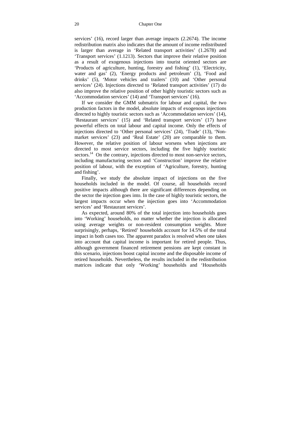services' (16), record larger than average impacts (2.2674). The income redistribution matrix also indicates that the amount of income redistributed is larger than average in 'Related transport activities' (1.2678) and 'Transport services' (1.1213). Sectors that improve their relative position as a result of exogenous injections into tourist oriented sectors are 'Products of agriculture, hunting, forestry and fishing' (1), 'Electricity, water and gas' (2), 'Energy products and petroleum' (3), 'Food and drinks' (5), 'Motor vehicles and trailers' (10) and 'Other personal services' (24). Injections directed to 'Related transport activities' (17) do also improve the relative position of other highly touristic sectors such as 'Accommodation services' (14) and 'Transport services' (16).

If we consider the GMM submatrix for labour and capital, the two production factors in the model, absolute impacts of exogenous injections directed to highly touristic sectors such as 'Accommodation services' (14), 'Restaurant services' (15) and 'Related transport services' (17) have powerful effects on total labour and capital income. Only the effects of injections directed to 'Other personal services' (24), 'Trade' (13), 'Nonmarket services' (23) and 'Real Estate' (20) are comparable to them. However, the relative position of labour worsens when injections are directed to most service sectors, including the five highly touristic sectors.<sup>14</sup> On the contrary, injections directed to most non-service sectors, including manufacturing sectors and 'Construction' improve the relative position of labour, with the exception of 'Agriculture, forestry, hunting and fishing'.

Finally, we study the absolute impact of injections on the five households included in the model. Of course, all households record positive impacts although there are significant differences depending on the sector the injection goes into. In the case of highly touristic sectors, the largest impacts occur when the injection goes into 'Accommodation services' and 'Restaurant services'.

As expected, around 80% of the total injection into households goes into 'Working' households, no matter whether the injection is allocated using average weights or non-resident consumption weights. More surprisingly, perhaps, 'Retired' households account for 14.5% of the total impact in both cases too. The apparent paradox is resolved when one takes into account that capital income is important for retired people. Thus, although government financed retirement pensions are kept constant in this scenario, injections boost capital income and the disposable income of retired households. Nevertheless, the results included in the redistribution matrices indicate that only 'Working' households and 'Households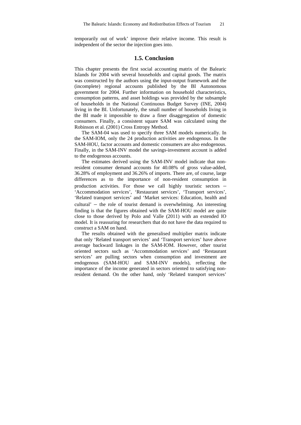temporarily out of work' improve their relative income. This result is independent of the sector the injection goes into.

#### **1.5. Conclusion**

This chapter presents the first social accounting matrix of the Balearic Islands for 2004 with several households and capital goods. The matrix was constructed by the authors using the input-output framework and the (incomplete) regional accounts published by the BI Autonomous government for 2004. Further information on household characteristics, consumption patterns, and asset holdings was provided by the subsample of households in the National Continuous Budget Survey (INE, 2004) living in the BI. Unfortunately, the small number of households living in the BI made it impossible to draw a finer disaggregation of domestic consumers. Finally, a consistent square SAM was calculated using the Robinson et al. (2001) Cross Entropy Method.

The SAM-04 was used to specify three SAM models numerically. In the SAM-IOM, only the 24 production activities are endogenous. In the SAM-HOU, factor accounts and domestic consumers are also endogenous. Finally, in the SAM-INV model the savings-investment account is added to the endogenous accounts.

The estimates derived using the SAM-INV model indicate that nonresident consumer demand accounts for 40.08% of gross value-added, 36.28% of employment and 36.26% of imports. There are, of course, large differences as to the importance of non-resident consumption in production activities. For those we call highly touristic sectors – 'Accommodation services', 'Restaurant services', 'Transport services', 'Related transport services' and 'Market services: Education, health and cultural' – the role of tourist demand is overwhelming. An interesting finding is that the figures obtained with the SAM-HOU model are quite close to those derived by Polo and Valle (2011) with an extended IO model. It is reassuring for researchers that do not have the data required to construct a SAM on hand.

The results obtained with the generalised multiplier matrix indicate that only 'Related transport services' and 'Transport services' have above average backward linkages in the SAM-IOM. However, other tourist oriented sectors such as 'Accommodation services' and 'Restaurant services' are pulling sectors when consumption and investment are endogenous (SAM-HOU and SAM-INV models), reflecting the importance of the income generated in sectors oriented to satisfying nonresident demand. On the other hand, only 'Related transport services'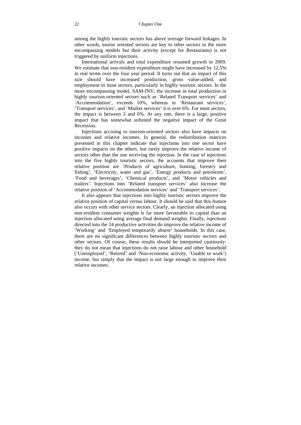among the highly touristic sectors has above average forward linkages. In other words, tourist oriented sectors are key to other sectors in the more encompassing models but their activity (except for Restaurants) is not triggered by uniform injections.

International arrivals and total expenditure resumed growth in 2009. We estimate that non-resident expenditure might have increased by 12.5% in real terms over the four year period. It turns out that an impact of this size should have increased production, gross value-added, and employment in most sectors, particularly in highly touristic sectors. In the more encompassing model, SAM-INV, the increase in total production in highly tourism-oriented sectors such as 'Related Transport services' and 'Accommodation', exceeds 10%, whereas in 'Restaurant services', 'Transport services', and 'Market services' it is over 6%. For most sectors, the impact is between 2 and 6%. At any rate, there is a large, positive impact that has somewhat softened the negative impact of the Great Recession.

Injections accruing to tourism-oriented sectors also have impacts on incomes and relative incomes. In general, the redistribution matrices presented in this chapter indicate that injections into one sector have positive impacts on the others, but rarely improve the relative income of sectors other than the one receiving the injection. In the case of injections into the five highly touristic sectors, the accounts that improve their relative position are 'Products of agriculture, hunting, forestry and fishing', 'Electricity, water and gas', 'Energy products and petroleum', 'Food and beverages', 'Chemical products', and 'Motor vehicles and trailers'. Injections into 'Related transport services' also increase the relative position of 'Accommodation services' and 'Transport services'.

It also appears that injections into highly touristic sectors improve the relative position of capital versus labour. It should be said that this feature also occurs with other service sectors. Clearly, an injection allocated using non-resident consumer weights is far more favourable to capital than an injection allocated using average final demand weights. Finally, injections directed into the 24 productive activities do improve the relative income of 'Working' and 'Employed temporarily absent' households. In this case, there are no significant differences between highly touristic sectors and other sectors. Of course, these results should be interpreted cautiously: they do not mean that injections do not raise labour and other household ('Unemployed', 'Retired' and 'Non-economic activity, 'Unable to work') income, but simply that the impact is not large enough to improve their relative incomes.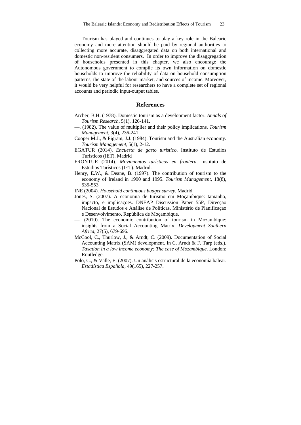Tourism has played and continues to play a key role in the Balearic economy and more attention should be paid by regional authorities to collecting more accurate, disaggregated data on both international and domestic non-resident consumers. In order to improve the disaggregation of households presented in this chapter, we also encourage the Autonomous government to compile its own information on domestic households to improve the reliability of data on household consumption patterns, the state of the labour market, and sources of income. Moreover, it would be very helpful for researchers to have a complete set of regional accounts and periodic input-output tables.

#### **References**

- Archer, B.H. (1978). Domestic tourism as a development factor. *Annals of Tourism Research*, 5(1), 126-141.
- —. (1982). The value of multiplier and their policy implications. *Tourism Management*, 3(4), 236-241.
- Cooper M.J., & Pigram, J.J. (1984). Tourism and the Australian economy. *Tourism Management*, 5(1), 2-12.
- EGATUR (2014). *Encuesta de gasto turístico*. Instituto de Estudios Turísticos (IET). Madrid
- FRONTUR (2014). *Movimientos turísticos en frontera*. Instituto de Estudios Turísticos (IET). Madrid.
- Henry, E.W., & Deane, B. (1997). The contribution of tourism to the economy of Ireland in 1990 and 1995. *Tourism Management*, 18(8), 535-553
- INE (2004). *Household continuous budget survey*. Madrid.
- Jones, S. (2007). A economia de turismo em Moçambique: tamanho, impacto, e implicaçoes. DNEAP Discussion Paper 55P, Direcçao Nacional de Estudos e Análise de Políticas, Ministério de Planificaçao e Desenvolvimento, República de Moçambique.
- —. (2010). The economic contribution of tourism in Mozambique: insights from a Social Accounting Matrix. *Development Southern Africa*, 27(5), 679-696.
- McCool, C., Thurlow, J., & Arndt, C. (2009). Documentation of Social Accounting Matrix (SAM) development. In C. Arndt & F. Tarp (eds.). *Taxation in a low income economy: The case of Mozambique*. London: Routledge.
- Polo, C., & Valle, E. (2007). Un análisis estructural de la economía balear. *Estadística Española*, 49(165), 227-257.